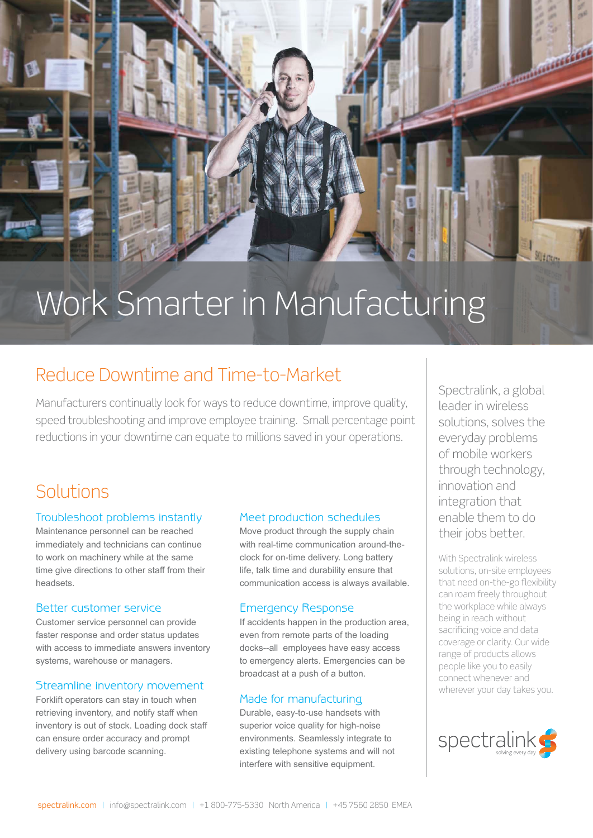

# Work Smarter in Manufacturing

### Reduce Downtime and Time-to-Market

Manufacturers continually look for ways to reduce downtime, improve quality, speed troubleshooting and improve employee training. Small percentage point reductions in your downtime can equate to millions saved in your operations.

## **Solutions**

#### Troubleshoot problems instantly

Maintenance personnel can be reached immediately and technicians can continue to work on machinery while at the same time give directions to other staff from their headsets.

#### Better customer service

Customer service personnel can provide faster response and order status updates with access to immediate answers inventory systems, warehouse or managers.

#### Streamline inventory movement

Forklift operators can stay in touch when retrieving inventory, and notify staff when inventory is out of stock. Loading dock staff can ensure order accuracy and prompt delivery using barcode scanning.

#### Meet production schedules

Move product through the supply chain with real-time communication around-theclock for on-time delivery. Long battery life, talk time and durability ensure that communication access is always available.

#### Emergency Response

If accidents happen in the production area, even from remote parts of the loading docks--all employees have easy access to emergency alerts. Emergencies can be broadcast at a push of a button.

#### Made for manufacturing

Durable, easy-to-use handsets with superior voice quality for high-noise environments. Seamlessly integrate to existing telephone systems and will not interfere with sensitive equipment.

Spectralink, a global leader in wireless solutions, solves the everyday problems of mobile workers through technology, innovation and integration that enable them to do their jobs better.

With Spectralink wireless solutions, on-site employees that need on-the-go flexibility can roam freely throughout the workplace while always being in reach without sacrificing voice and data coverage or clarity. Our wide range of products allows people like you to easily connect whenever and wherever your day takes you.